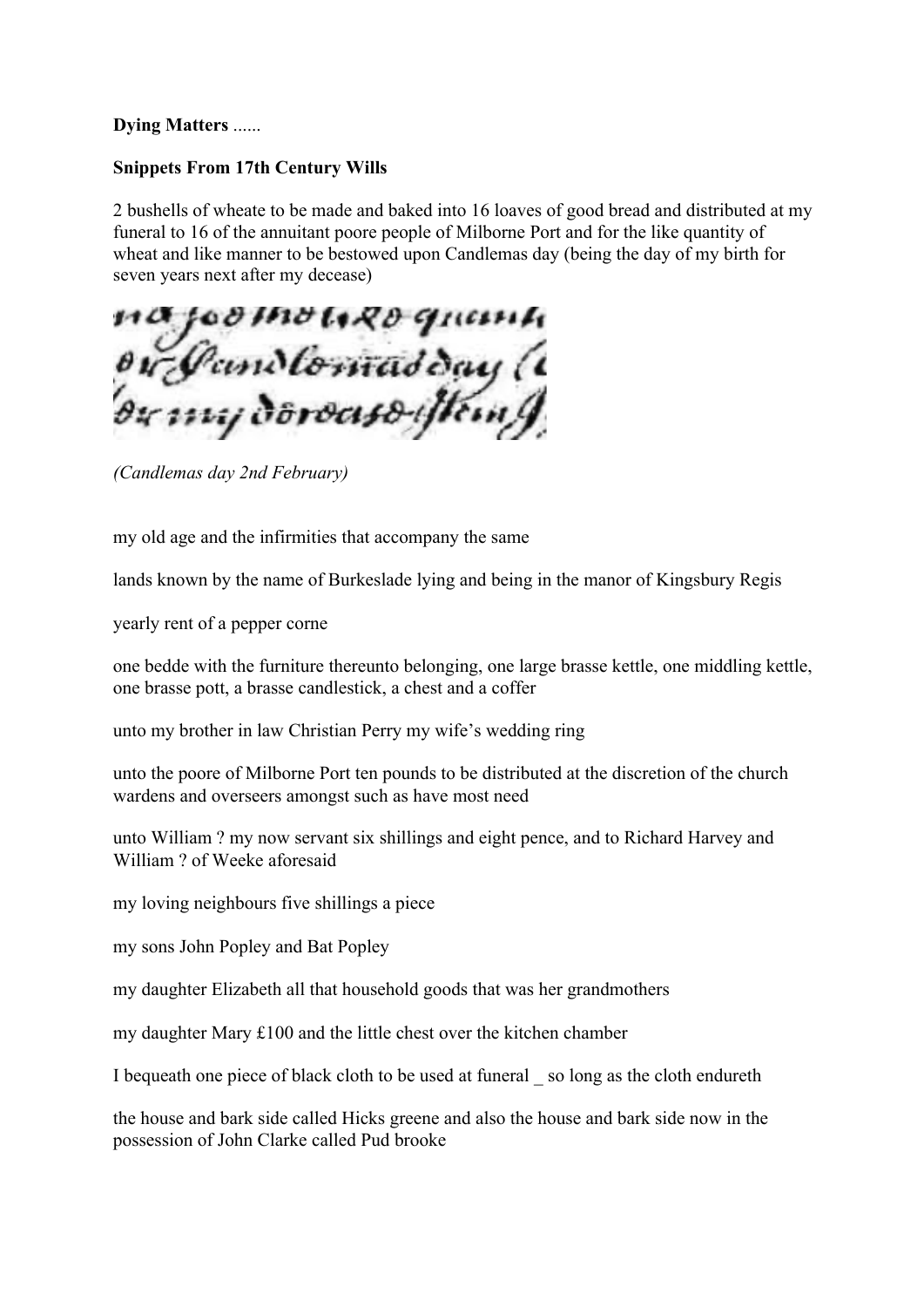## **Dying Matters** ......

## **Snippets From 17th Century Wills**

2 bushells of wheate to be made and baked into 16 loaves of good bread and distributed at my funeral to 16 of the annuitant poore people of Milborne Port and for the like quantity of wheat and like manner to be bestowed upon Candlemas day (being the day of my birth for seven years next after my decease)

a joomoweo quamh<br>w:Jamdlomadday (1<br>wmydoroaso:jtamJ

*(Candlemas day 2nd February)*

my old age and the infirmities that accompany the same

lands known by the name of Burkeslade lying and being in the manor of Kingsbury Regis

yearly rent of a pepper corne

one bedde with the furniture thereunto belonging, one large brasse kettle, one middling kettle, one brasse pott, a brasse candlestick, a chest and a coffer

unto my brother in law Christian Perry my wife's wedding ring

unto the poore of Milborne Port ten pounds to be distributed at the discretion of the church wardens and overseers amongst such as have most need

unto William ? my now servant six shillings and eight pence, and to Richard Harvey and William ? of Weeke aforesaid

my loving neighbours five shillings a piece

my sons John Popley and Bat Popley

my daughter Elizabeth all that household goods that was her grandmothers

my daughter Mary £100 and the little chest over the kitchen chamber

I bequeath one piece of black cloth to be used at funeral \_ so long as the cloth endureth

the house and bark side called Hicks greene and also the house and bark side now in the possession of John Clarke called Pud brooke